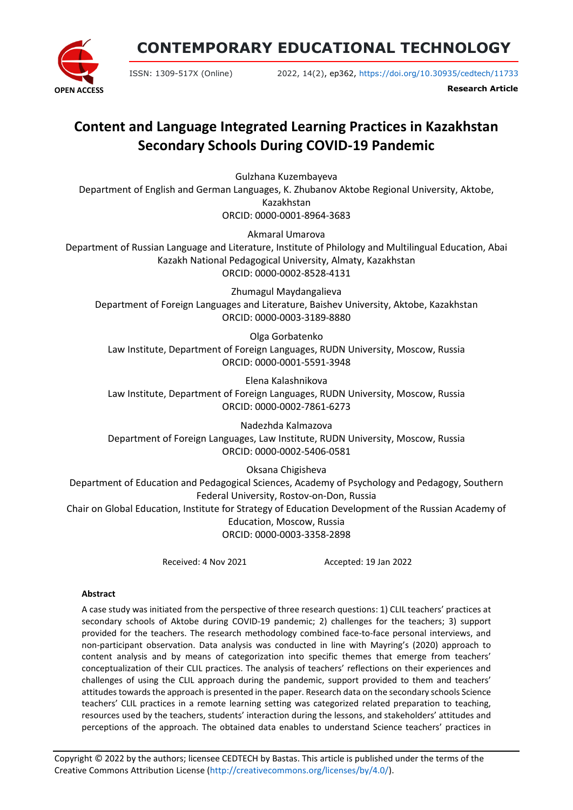

**CONTEMPORARY EDUCATIONAL TECHNOLOGY**

ISSN: 1309-517X (Online) 2022, 14(2), ep362, <https://doi.org/10.30935/cedtech/11733>

**Research Article**

# **Content and Language Integrated Learning Practices in Kazakhstan Secondary Schools During COVID-19 Pandemic**

Gulzhana Kuzembayeva Department of English and German Languages, K. Zhubanov Aktobe Regional University, Aktobe, Kazakhstan ORCID: 0000-0001-8964-3683

Akmaral Umarova Department of Russian Language and Literature, Institute of Philology and Multilingual Education, Abai Kazakh National Pedagogical University, Almaty, Kazakhstan ORCID: 0000-0002-8528-4131

Zhumagul Maydangalieva Department of Foreign Languages and Literature, Baishev University, Aktobe, Kazakhstan ORCID: 0000-0003-3189-8880

Olga Gorbatenko Law Institute, Department of Foreign Languages, RUDN University, Moscow, Russia ORCID: 0000-0001-5591-3948

Elena Kalashnikova Law Institute, Department of Foreign Languages, RUDN University, Moscow, Russia ORCID: 0000-0002-7861-6273

Nadezhda Kalmazova Department of Foreign Languages, Law Institute, RUDN University, Moscow, Russia ORCID: 0000-0002-5406-0581

Oksana Chigisheva Department of Education and Pedagogical Sciences, Academy of Psychology and Pedagogy, Southern Federal University, Rostov-on-Don, Russia Chair on Global Education, Institute for Strategy of Education Development of the Russian Academy of Education, Moscow, Russia ORCID: 0000-0003-3358-2898

Received: 4 Nov 2021 Accepted: 19 Jan 2022

## **Abstract**

A case study was initiated from the perspective of three research questions: 1) CLIL teachers' practices at secondary schools of Aktobe during COVID-19 pandemic; 2) challenges for the teachers; 3) support provided for the teachers. The research methodology combined face-to-face personal interviews, and non-participant observation. Data analysis was conducted in line with Mayring's (2020) approach to content analysis and by means of categorization into specific themes that emerge from teachers' conceptualization of their CLIL practices. The analysis of teachers' reflections on their experiences and challenges of using the CLIL approach during the pandemic, support provided to them and teachers' attitudes towards the approach is presented in the paper. Research data on the secondary schools Science teachers' CLIL practices in a remote learning setting was categorized related preparation to teaching, resources used by the teachers, students' interaction during the lessons, and stakeholders' attitudes and perceptions of the approach. The obtained data enables to understand Science teachers' practices in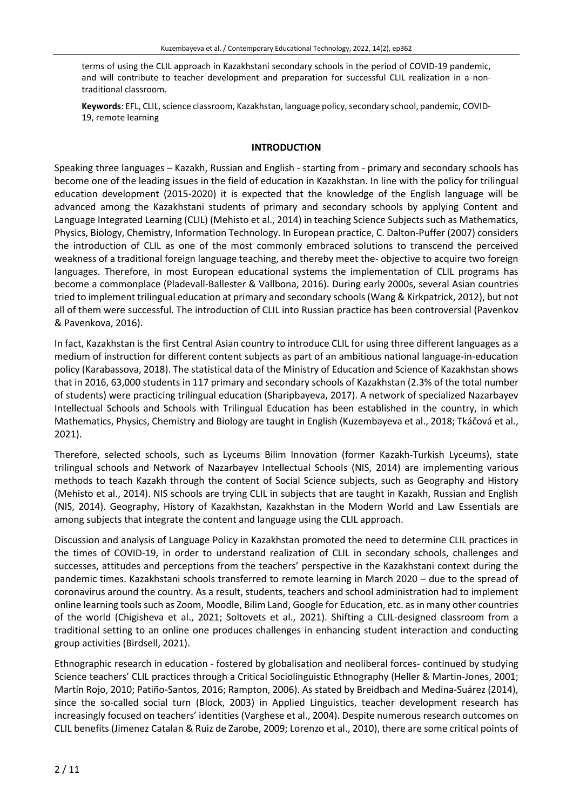terms of using the CLIL approach in Kazakhstani secondary schools in the period of COVID-19 pandemic, and will contribute to teacher development and preparation for successful CLIL realization in a nontraditional classroom.

Keywords: EFL, CLIL, science classroom, Kazakhstan, language policy, secondary school, pandemic, COVID-19, remote learning

#### **INTRODUCTION**

Speaking three languages – Kazakh, Russian and English - starting from - primary and secondary schools has become one of the leading issues in the field of education in Kazakhstan. In line with the policy for trilingual education development (2015-2020) it is expected that the knowledge of the English language will be advanced among the Kazakhstani students of primary and secondary schools by applying Content and Language Integrated Learning (CLIL) (Mehisto et al., 2014) in teaching Science Subjects such as Mathematics, Physics, Biology, Chemistry, Information Technology. In European practice, C. Dalton-Puffer (2007) considers the introduction of CLIL as one of the most commonly embraced solutions to transcend the perceived weakness of a traditional foreign language teaching, and thereby meet the- objective to acquire two foreign languages. Therefore, in most European educational systems the implementation of CLIL programs has become a commonplace (Pladevall-Ballester & Vallbona, 2016). During early 2000s, several Asian countries tried to implement trilingual education at primary and secondary schools(Wang & Kirkpatrick, 2012), but not all of them were successful. The introduction of CLIL into Russian practice has been controversial (Pavenkov & Pavenkova, 2016).

In fact, Kazakhstan is the first Central Asian country to introduce CLIL for using three different languages as a medium of instruction for different content subjects as part of an ambitious national language-in-education policy (Karabassova, 2018). The statistical data of the Ministry of Education and Science of Kazakhstan shows that in 2016, 63,000 students in 117 primary and secondary schools of Kazakhstan (2.3% of the total number of students) were practicing trilingual education (Sharipbayeva, 2017). A network of specialized Nazarbayev Intellectual Schools and Schools with Trilingual Education has been established in the country, in which Mathematics, Physics, Chemistry and Biology are taught in English (Kuzembayeva et al., 2018; Tkáčová et al., 2021).

Therefore, selected schools, such as Lyceums Bilim Innovation (former Kazakh-Turkish Lyceums), state trilingual schools and Network of Nazarbayev Intellectual Schools (NIS, 2014) are implementing various methods to teach Kazakh through the content of Social Science subjects, such as Geography and History (Mehisto et al., 2014). NIS schools are trying CLIL in subjects that are taught in Kazakh, Russian and English (NIS, 2014). Geography, History of Kazakhstan, Kazakhstan in the Modern World and Law Essentials are among subjects that integrate the content and language using the CLIL approach.

Discussion and analysis of Language Policy in Kazakhstan promoted the need to determine CLIL practices in the times of COVID-19, in order to understand realization of CLIL in secondary schools, challenges and successes, attitudes and perceptions from the teachers' perspective in the Kazakhstani context during the pandemic times. Kazakhstani schools transferred to remote learning in March 2020 – due to the spread of coronavirus around the country. As a result, students, teachers and school administration had to implement online learning toolssuch as Zoom, Moodle, Bilim Land, Google for Education, etc. as in many other countries of the world (Chigisheva et al., 2021; Soltovets et al., 2021). Shifting a CLIL-designed classroom from a traditional setting to an online one produces challenges in enhancing student interaction and conducting group activities (Birdsell, 2021).

Ethnographic research in education - fostered by globalisation and neoliberal forces- continued by studying Science teachers' CLIL practices through a Critical Sociolinguistic Ethnography (Heller & Martin-Jones, 2001; Martín Rojo, 2010; Patiño-Santos, 2016; Rampton, 2006). As stated by Breidbach and Medina-Suárez (2014), since the so-called social turn (Block, 2003) in Applied Linguistics, teacher development research has increasingly focused on teachers' identities (Varghese et al., 2004). Despite numerous research outcomes on CLIL benefits (Jimenez Catalan & Ruiz de Zarobe, 2009; Lorenzo et al., 2010), there are some critical points of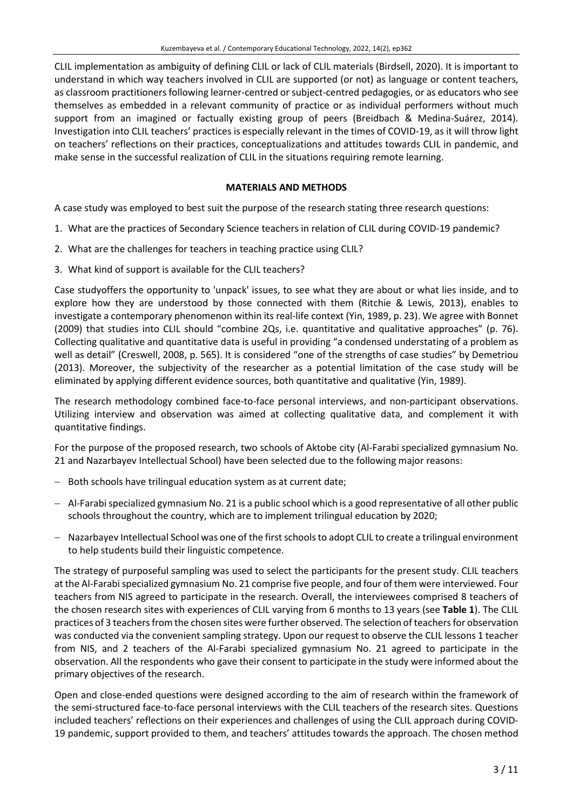CLIL implementation as ambiguity of defining CLIL or lack of CLIL materials (Birdsell, 2020). It is important to understand in which way teachers involved in CLIL are supported (or not) as language or content teachers, as classroom practitioners following learner-centred orsubject-centred pedagogies, or as educators who see themselves as embedded in a relevant community of practice or as individual performers without much support from an imagined or factually existing group of peers (Breidbach & Medina-Suárez, 2014). Investigation into CLIL teachers' practices is especially relevant in the times of COVID-19, as it will throw light on teachers' reflections on their practices, conceptualizations and attitudes towards CLIL in pandemic, and make sense in the successful realization of CLIL in the situations requiring remote learning.

#### **MATERIALS AND METHODS**

A case study was employed to best suit the purpose of the research stating three research questions:

- 1. What are the practices of Secondary Science teachers in relation of CLIL during COVID-19 pandemic?
- 2. What are the challenges for teachers in teaching practice using CLIL?
- 3. What kind of support is available for the CLIL teachers?

Case studyoffers the opportunity to 'unpack' issues, to see what they are about or what lies inside, and to explore how they are understood by those connected with them (Ritchie & Lewis, 2013), enables to investigate a contemporary phenomenon within its real-life context (Yin, 1989, p. 23). We agree with Bonnet (2009) that studies into CLIL should "combine 2Qs, i.e. quantitative and qualitative approaches" (p. 76). Collecting qualitative and quantitative data is useful in providing "a condensed understating of a problem as well as detail" (Creswell, 2008, p. 565). It is considered "one of the strengths of case studies" by Demetriou (2013). Moreover, the subjectivity of the researcher as a potential limitation of the case study will be eliminated by applying different evidence sources, both quantitative and qualitative (Yin, 1989).

The research methodology combined face-to-face personal interviews, and non-participant observations. Utilizing interview and observation was aimed at collecting qualitative data, and complement it with quantitative findings.

For the purpose of the proposed research, two schools of Aktobe city (Al-Farabi specialized gymnasium No. 21 and Nazarbayev Intellectual School) have been selected due to the following major reasons:

- − Both schools have trilingual education system as at current date;
- − Al-Farabispecialized gymnasium No. 21 is a public school which is a good representative of all other public schools throughout the country, which are to implement trilingual education by 2020;
- − Nazarbayev Intellectual School was one of the first schools to adopt CLIL to create a trilingual environment to help students build their linguistic competence.

The strategy of purposeful sampling was used to select the participants for the present study. CLIL teachers at the Al-Farabi specialized gymnasium No. 21 comprise five people, and four of them were interviewed. Four teachers from NIS agreed to participate in the research. Overall, the interviewees comprised 8 teachers of the chosen research sites with experiences of CLIL varying from 6 months to 13 years (see **Table 1**). The CLIL practices of 3 teachers from the chosen sites were further observed. The selection of teachers for observation was conducted via the convenient sampling strategy. Upon our request to observe the CLIL lessons 1 teacher from NIS, and 2 teachers of the Al-Farabi specialized gymnasium No. 21 agreed to participate in the observation. All the respondents who gave their consent to participate in the study were informed about the primary objectives of the research.

Open and close-ended questions were designed according to the aim of research within the framework of the semi-structured face-to-face personal interviews with the CLIL teachers of the research sites. Questions included teachers' reflections on their experiences and challenges of using the CLIL approach during COVID-19 pandemic, support provided to them, and teachers' attitudes towards the approach. The chosen method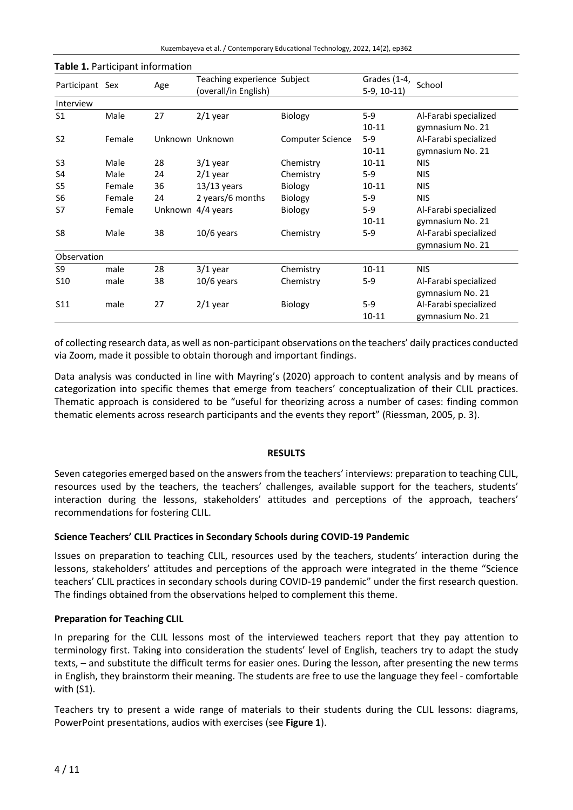Kuzembayeva et al. / Contemporary Educational Technology, 2022, 14(2), ep362

|        | Age                            | Teaching experience Subject<br>(overall/in English) |                                      | $5-9, 10-11)$ | School                                                  |
|--------|--------------------------------|-----------------------------------------------------|--------------------------------------|---------------|---------------------------------------------------------|
|        |                                |                                                     |                                      |               |                                                         |
| Male   | 27                             | $2/1$ year                                          | Biology                              | $5-9$         | Al-Farabi specialized                                   |
|        |                                |                                                     |                                      | 10-11         | gymnasium No. 21                                        |
| Female |                                |                                                     | <b>Computer Science</b>              | $5-9$         | Al-Farabi specialized                                   |
|        |                                |                                                     |                                      | $10 - 11$     | gymnasium No. 21                                        |
| Male   | 28                             | $3/1$ year                                          | Chemistry                            | 10-11         | <b>NIS</b>                                              |
| Male   | 24                             | $2/1$ year                                          | Chemistry                            | $5-9$         | <b>NIS</b>                                              |
| Female | 36                             | $13/13$ years                                       | Biology                              | 10-11         | <b>NIS</b>                                              |
| Female | 24                             | 2 years/6 months                                    | <b>Biology</b>                       | $5-9$         | <b>NIS</b>                                              |
| Female |                                |                                                     | <b>Biology</b>                       | $5-9$         | Al-Farabi specialized                                   |
|        |                                |                                                     |                                      | $10 - 11$     | gymnasium No. 21                                        |
| Male   | 38                             | $10/6$ years                                        | Chemistry                            | $5-9$         | Al-Farabi specialized                                   |
|        |                                |                                                     |                                      |               | gymnasium No. 21                                        |
|        |                                |                                                     |                                      |               |                                                         |
| male   | 28                             | $3/1$ year                                          | Chemistry                            | $10 - 11$     | <b>NIS</b>                                              |
| male   | 38                             | $10/6$ years                                        | Chemistry                            | $5-9$         | Al-Farabi specialized                                   |
|        |                                |                                                     |                                      |               | gymnasium No. 21                                        |
| male   | 27                             | $2/1$ year                                          | Biology                              | $5-9$         | Al-Farabi specialized                                   |
|        |                                |                                                     |                                      | 10-11         | gymnasium No. 21                                        |
|        | Participant Sex<br>Observation |                                                     | Unknown Unknown<br>Unknown 4/4 years |               | <b>Table 1.</b> Farticipant information<br>Grades (1-4, |

## **Table 1.** Participant information

of collecting research data, as well as non-participant observations on the teachers' daily practices conducted via Zoom, made it possible to obtain thorough and important findings.

Data analysis was conducted in line with Mayring's (2020) approach to content analysis and by means of categorization into specific themes that emerge from teachers' conceptualization of their CLIL practices. Thematic approach is considered to be "useful for theorizing across a number of cases: finding common thematic elements across research participants and the events they report" (Riessman, 2005, p. 3).

## **RESULTS**

Seven categories emerged based on the answers from the teachers' interviews: preparation to teaching CLIL, resources used by the teachers, the teachers' challenges, available support for the teachers, students' interaction during the lessons, stakeholders' attitudes and perceptions of the approach, teachers' recommendations for fostering CLIL.

## **Science Teachers' CLIL Practices in Secondary Schools during COVID-19 Pandemic**

Issues on preparation to teaching CLIL, resources used by the teachers, students' interaction during the lessons, stakeholders' attitudes and perceptions of the approach were integrated in the theme "Science teachers' CLIL practices in secondary schools during COVID-19 pandemic" under the first research question. The findings obtained from the observations helped to complement this theme.

## **Preparation for Teaching CLIL**

In preparing for the CLIL lessons most of the interviewed teachers report that they pay attention to terminology first. Taking into consideration the students' level of English, teachers try to adapt the study texts, – and substitute the difficult terms for easier ones. During the lesson, after presenting the new terms in English, they brainstorm their meaning. The students are free to use the language they feel - comfortable with (S1).

Teachers try to present a wide range of materials to their students during the CLIL lessons: diagrams, PowerPoint presentations, audios with exercises (see **Figure 1**).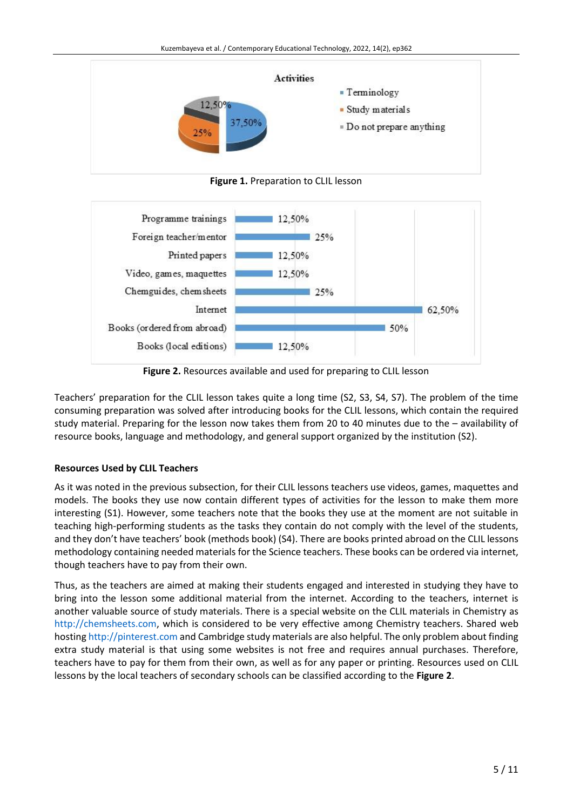

**Figure 1.** Preparation to CLIL lesson



**Figure 2.** Resources available and used for preparing to CLIL lesson

Teachers' preparation for the CLIL lesson takes quite a long time (S2, S3, S4, S7). The problem of the time consuming preparation was solved after introducing books for the CLIL lessons, which contain the required study material. Preparing for the lesson now takes them from 20 to 40 minutes due to the – availability of resource books, language and methodology, and general support organized by the institution (S2).

## **Resources Used by CLIL Teachers**

As it was noted in the previous subsection, for their CLIL lessons teachers use videos, games, maquettes and models. The books they use now contain different types of activities for the lesson to make them more interesting (S1). However, some teachers note that the books they use at the moment are not suitable in teaching high-performing students as the tasks they contain do not comply with the level of the students, and they don't have teachers' book (methods book) (S4). There are books printed abroad on the CLIL lessons methodology containing needed materials for the Science teachers. These books can be ordered via internet, though teachers have to pay from their own.

Thus, as the teachers are aimed at making their students engaged and interested in studying they have to bring into the lesson some additional material from the internet. According to the teachers, internet is another valuable source of study materials. There is a special website on the CLIL materials in Chemistry as [http://chemsheets.com,](http://chemsheets.com/) which is considered to be very effective among Chemistry teachers. Shared web hosting [http://pinterest.com](http://pinterest.com/) and Cambridge study materials are also helpful. The only problem about finding extra study material is that using some websites is not free and requires annual purchases. Therefore, teachers have to pay for them from their own, as well as for any paper or printing. Resources used on CLIL lessons by the local teachers of secondary schools can be classified according to the **Figure 2**.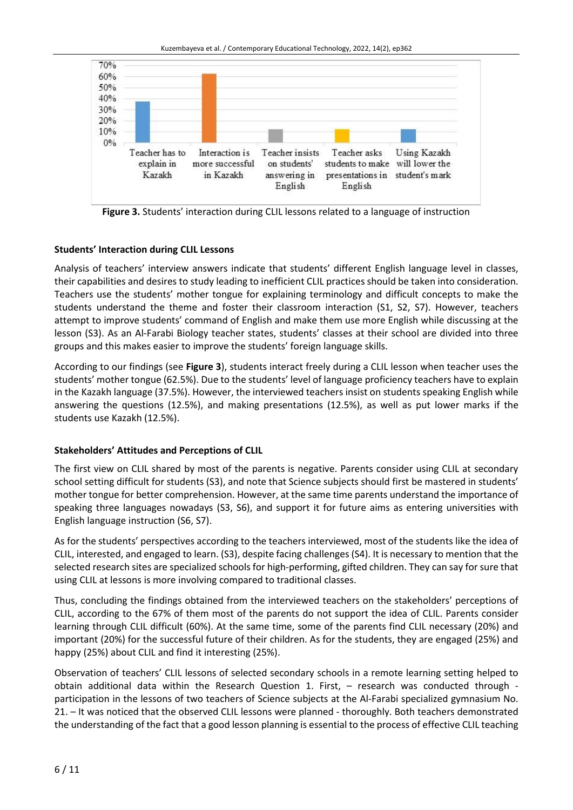Kuzembayeva et al. / Contemporary Educational Technology, 2022, 14(2), ep362



**Figure 3.** Students' interaction during CLIL lessons related to a language of instruction

## **Students' Interaction during CLIL Lessons**

Analysis of teachers' interview answers indicate that students' different English language level in classes, their capabilities and desires to study leading to inefficient CLIL practices should be taken into consideration. Teachers use the students' mother tongue for explaining terminology and difficult concepts to make the students understand the theme and foster their classroom interaction (S1, S2, S7). However, teachers attempt to improve students' command of English and make them use more English while discussing at the lesson (S3). As an Al-Farabi Biology teacher states, students' classes at their school are divided into three groups and this makes easier to improve the students' foreign language skills.

According to our findings (see **Figure 3**), students interact freely during a CLIL lesson when teacher uses the students' mother tongue (62.5%). Due to the students' level of language proficiency teachers have to explain in the Kazakh language (37.5%). However, the interviewed teachers insist on students speaking English while answering the questions (12.5%), and making presentations (12.5%), as well as put lower marks if the students use Kazakh (12.5%).

# **Stakeholders' Attitudes and Perceptions of CLIL**

The first view on CLIL shared by most of the parents is negative. Parents consider using CLIL at secondary school setting difficult for students (S3), and note that Science subjects should first be mastered in students' mother tongue for better comprehension. However, at the same time parents understand the importance of speaking three languages nowadays (S3, S6), and support it for future aims as entering universities with English language instruction (S6, S7).

As for the students' perspectives according to the teachers interviewed, most of the students like the idea of CLIL, interested, and engaged to learn. (S3), despite facing challenges (S4). It is necessary to mention that the selected research sites are specialized schools for high-performing, gifted children. They can say for sure that using CLIL at lessons is more involving compared to traditional classes.

Thus, concluding the findings obtained from the interviewed teachers on the stakeholders' perceptions of CLIL, according to the 67% of them most of the parents do not support the idea of CLIL. Parents consider learning through CLIL difficult (60%). At the same time, some of the parents find CLIL necessary (20%) and important (20%) for the successful future of their children. As for the students, they are engaged (25%) and happy (25%) about CLIL and find it interesting (25%).

Observation of teachers' CLIL lessons of selected secondary schools in a remote learning setting helped to obtain additional data within the Research Question 1. First, – research was conducted through participation in the lessons of two teachers of Science subjects at the Al-Farabi specialized gymnasium No. 21. – It was noticed that the observed CLIL lessons were planned - thoroughly. Both teachers demonstrated the understanding of the fact that a good lesson planning is essential to the process of effective CLIL teaching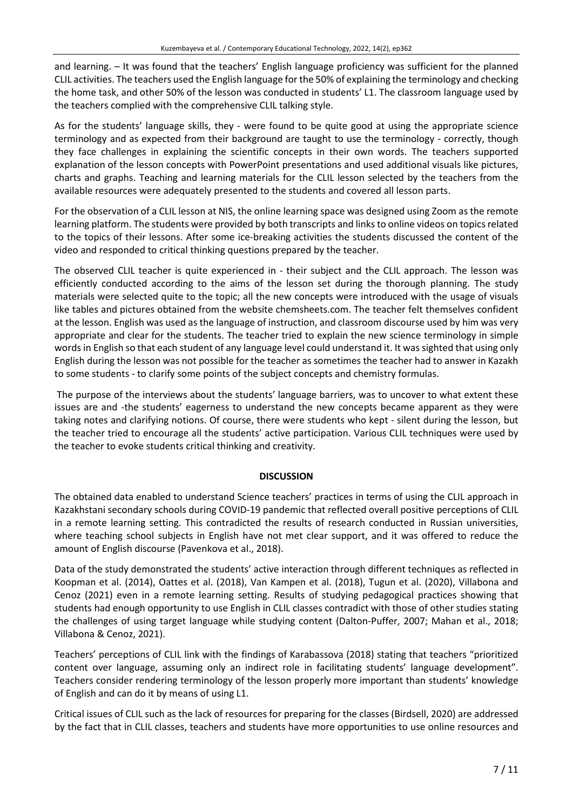and learning. – It was found that the teachers' English language proficiency was sufficient for the planned CLIL activities. The teachers used the English language for the 50% of explaining the terminology and checking the home task, and other 50% of the lesson was conducted in students' L1. The classroom language used by the teachers complied with the comprehensive CLIL talking style.

As for the students' language skills, they - were found to be quite good at using the appropriate science terminology and as expected from their background are taught to use the terminology - correctly, though they face challenges in explaining the scientific concepts in their own words. The teachers supported explanation of the lesson concepts with PowerPoint presentations and used additional visuals like pictures, charts and graphs. Teaching and learning materials for the CLIL lesson selected by the teachers from the available resources were adequately presented to the students and covered all lesson parts.

For the observation of a CLIL lesson at NIS, the online learning space was designed using Zoom as the remote learning platform. The students were provided by both transcripts and links to online videos on topics related to the topics of their lessons. After some ice-breaking activities the students discussed the content of the video and responded to critical thinking questions prepared by the teacher.

The observed CLIL teacher is quite experienced in - their subject and the CLIL approach. The lesson was efficiently conducted according to the aims of the lesson set during the thorough planning. The study materials were selected quite to the topic; all the new concepts were introduced with the usage of visuals like tables and pictures obtained from the website chemsheets.com. The teacher felt themselves confident at the lesson. English was used as the language of instruction, and classroom discourse used by him was very appropriate and clear for the students. The teacher tried to explain the new science terminology in simple words in English so that each student of any language level could understand it. It was sighted that using only English during the lesson was not possible for the teacher as sometimes the teacher had to answer in Kazakh to some students - to clarify some points of the subject concepts and chemistry formulas.

The purpose of the interviews about the students' language barriers, was to uncover to what extent these issues are and -the students' eagerness to understand the new concepts became apparent as they were taking notes and clarifying notions. Of course, there were students who kept - silent during the lesson, but the teacher tried to encourage all the students' active participation. Various CLIL techniques were used by the teacher to evoke students critical thinking and creativity.

## **DISCUSSION**

The obtained data enabled to understand Science teachers' practices in terms of using the CLIL approach in Kazakhstani secondary schools during COVID-19 pandemic that reflected overall positive perceptions of CLIL in a remote learning setting. This contradicted the results of research conducted in Russian universities, where teaching school subjects in English have not met clear support, and it was offered to reduce the amount of English discourse (Pavenkova et al., 2018).

Data of the study demonstrated the students' active interaction through different techniques as reflected in Koopman et al. (2014), Oattes et al. (2018), Van Kampen et al. (2018), Tugun et al. (2020), Villabona and Cenoz (2021) even in a remote learning setting. Results of studying pedagogical practices showing that students had enough opportunity to use English in CLIL classes contradict with those of other studies stating the challenges of using target language while studying content (Dalton-Puffer, 2007; Mahan et al., 2018; Villabona & Cenoz, 2021).

Teachers' perceptions of CLIL link with the findings of Karabassova (2018) stating that teachers "prioritized content over language, assuming only an indirect role in facilitating students' language development". Teachers consider rendering terminology of the lesson properly more important than students' knowledge of English and can do it by means of using L1.

Critical issues of CLIL such as the lack of resources for preparing for the classes (Birdsell, 2020) are addressed by the fact that in CLIL classes, teachers and students have more opportunities to use online resources and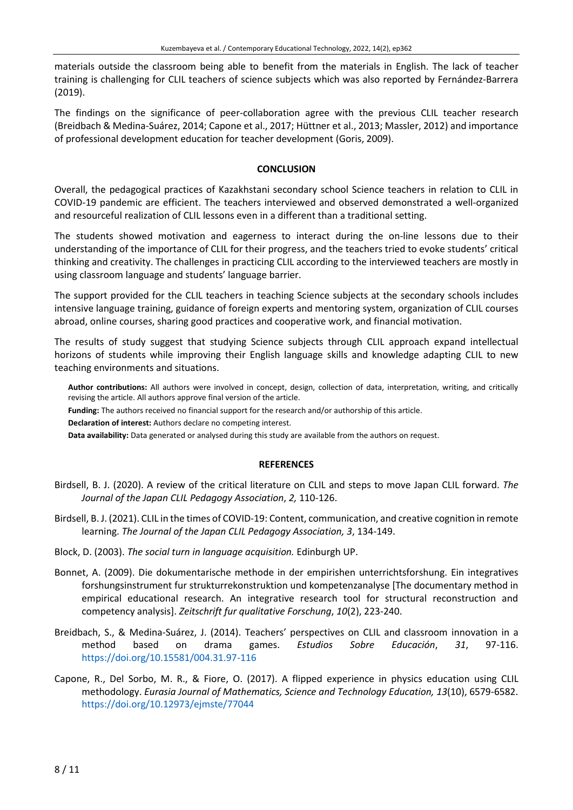materials outside the classroom being able to benefit from the materials in English. The lack of teacher training is challenging for CLIL teachers of science subjects which was also reported by Fernández-Barrera (2019).

The findings on the significance of peer-collaboration agree with the previous CLIL teacher research (Breidbach & Medina-Suárez, 2014; Capone et al., 2017; Hüttner et al., 2013; Massler, 2012) and importance of professional development education for teacher development (Goris, 2009).

## **CONCLUSION**

Overall, the pedagogical practices of Kazakhstani secondary school Science teachers in relation to CLIL in COVID-19 pandemic are efficient. The teachers interviewed and observed demonstrated a well-organized and resourceful realization of CLIL lessons even in a different than a traditional setting.

The students showed motivation and eagerness to interact during the on-line lessons due to their understanding of the importance of CLIL for their progress, and the teachers tried to evoke students' critical thinking and creativity. The challenges in practicing CLIL according to the interviewed teachers are mostly in using classroom language and students' language barrier.

The support provided for the CLIL teachers in teaching Science subjects at the secondary schools includes intensive language training, guidance of foreign experts and mentoring system, organization of CLIL courses abroad, online courses, sharing good practices and cooperative work, and financial motivation.

The results of study suggest that studying Science subjects through CLIL approach expand intellectual horizons of students while improving their English language skills and knowledge adapting CLIL to new teaching environments and situations.

**Author contributions:** All authors were involved in concept, design, collection of data, interpretation, writing, and critically revising the article. All authors approve final version of the article.

**Funding:** The authors received no financial support for the research and/or authorship of this article.

**Declaration of interest:** Authors declare no competing interest.

**Data availability:** Data generated or analysed during this study are available from the authors on request.

## **REFERENCES**

- Birdsell, B. J. (2020). A review of the critical literature on CLIL and steps to move Japan CLIL forward. *The Journal of the Japan CLIL Pedagogy Association*, *2,* 110-126.
- Birdsell, B. J. (2021). CLIL in the times of COVID-19: Content, communication, and creative cognition in remote learning. *The Journal of the Japan CLIL Pedagogy Association, 3*, 134-149.
- Block, D. (2003). *The social turn in language acquisition.* Edinburgh UP.
- Bonnet, A. (2009). Die dokumentarische methode in der empirishen unterrichtsforshung. Ein integratives forshungsinstrument fur strukturrekonstruktion und kompetenzanalyse [The documentary method in empirical educational research. An integrative research tool for structural reconstruction and competency analysis]. *Zeitschrift fur qualitative Forschung*, *10*(2), 223-240.
- Breidbach, S., & Medina-Suárez, J. (2014). Teachers' perspectives on CLIL and classroom innovation in a method based on drama games. *Estudios Sobre Educación*, *31*, 97-116. <https://doi.org/10.15581/004.31.97-116>
- Capone, R., Del Sorbo, M. R., & Fiore, O. (2017). A flipped experience in physics education using CLIL methodology. *Eurasia Journal of Mathematics, Science and Technology Education, 13*(10), 6579-6582. <https://doi.org/10.12973/ejmste/77044>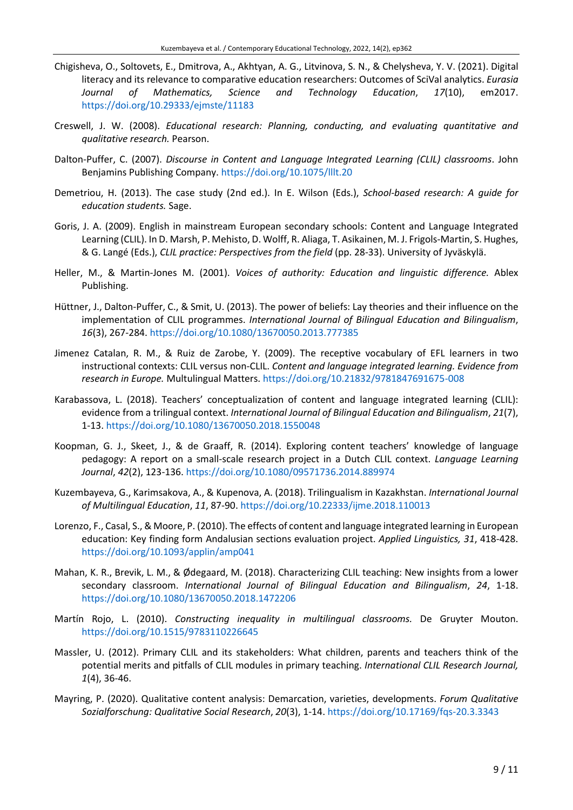- Chigisheva, O., Soltovets, E., Dmitrova, A., Akhtyan, A. G., Litvinova, S. N., & Chelysheva, Y. V. (2021). Digital literacy and its relevance to comparative education researchers: Outcomes of SciVal analytics. *Eurasia Journal of Mathematics, Science and Technology Education*, *17*(10), em2017. <https://doi.org/10.29333/ejmste/11183>
- Creswell, J. W. (2008). *Educational research: Planning, conducting, and evaluating quantitative and qualitative research.* Pearson.
- Dalton-Puffer, C. (2007). *Discourse in Content and Language Integrated Learning (CLIL) classrooms*. John Benjamins Publishing Company. <https://doi.org/10.1075/lllt.20>
- Demetriou, H. (2013). The case study (2nd ed.). In E. Wilson (Eds.), *School-based research: A guide for education students.* Sage.
- Goris, J. A. (2009). English in mainstream European secondary schools: Content and Language Integrated Learning (CLIL). In D. Marsh, P. Mehisto, D. Wolff, R. Aliaga, T. Asikainen, M. J. Frigols-Martin, S. Hughes, & G. Langé (Eds.), *CLIL practice: Perspectives from the field* (pp. 28-33). University of Jyväskylä.
- Heller, M., & Martin-Jones M. (2001). *Voices of authority: Education and linguistic difference.* Ablex Publishing.
- Hüttner, J., Dalton-Puffer, C., & Smit, U. (2013). The power of beliefs: Lay theories and their influence on the implementation of CLIL programmes. *International Journal of Bilingual Education and Bilingualism*, *16*(3), 267-284. <https://doi.org/10.1080/13670050.2013.777385>
- Jimenez Catalan, R. M., & Ruiz de Zarobe, Y. (2009). The receptive vocabulary of EFL learners in two instructional contexts: CLIL versus non-CLIL. *Content and language integrated learning. Evidence from research in Europe.* Multulingual Matters. <https://doi.org/10.21832/9781847691675-008>
- Karabassova, L. (2018). Teachers' conceptualization of content and language integrated learning (CLIL): evidence from a trilingual context. *International Journal of Bilingual Education and Bilingualism*, *21*(7), 1-13. <https://doi.org/10.1080/13670050.2018.1550048>
- Koopman, G. J., Skeet, J., & de Graaff, R. (2014). Exploring content teachers' knowledge of language pedagogy: A report on a small-scale research project in a Dutch CLIL context. *Language Learning Journal*, *42*(2), 123-136. <https://doi.org/10.1080/09571736.2014.889974>
- Kuzembayeva, G., Karimsakova, A., & Kupenova, A. (2018). Trilingualism in Kazakhstan. *International Journal of Multilingual Education*, *11*, 87-90. <https://doi.org/10.22333/ijme.2018.110013>
- Lorenzo, F., Casal, S., & Moore, P. (2010). The effects of content and language integrated learning in European education: Key finding form Andalusian sections evaluation project. *Applied Linguistics, 31*, 418-428. <https://doi.org/10.1093/applin/amp041>
- Mahan, K. R., Brevik, L. M., & Ødegaard, M. (2018). Characterizing CLIL teaching: New insights from a lower secondary classroom. *International Journal of Bilingual Education and Bilingualism*, *24*, 1-18. <https://doi.org/10.1080/13670050.2018.1472206>
- Martín Rojo, L. (2010). *Constructing inequality in multilingual classrooms.* De Gruyter Mouton. <https://doi.org/10.1515/9783110226645>
- Massler, U. (2012). Primary CLIL and its stakeholders: What children, parents and teachers think of the potential merits and pitfalls of CLIL modules in primary teaching. *International CLIL Research Journal, 1*(4), 36-46.
- Mayring, P. (2020). Qualitative content analysis: Demarcation, varieties, developments. *Forum Qualitative Sozialforschung: Qualitative Social Research*, *20*(3), 1-14. <https://doi.org/10.17169/fqs-20.3.3343>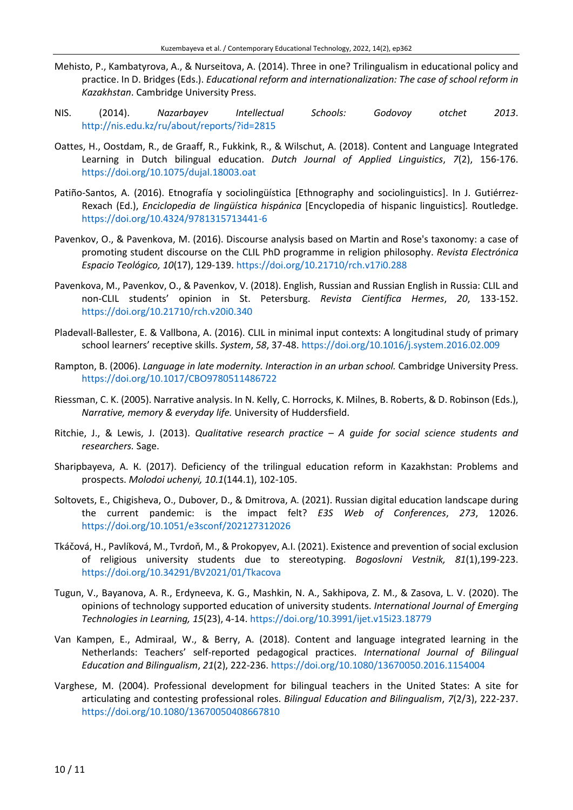- Mehisto, P., Kambatyrova, A., & Nurseitova, A. (2014). Three in one? Trilingualism in educational policy and practice. In D. Bridges (Eds.). *Educational reform and internationalization: The case of school reform in Kazakhstan*. Cambridge University Press.
- NIS. (2014). *Nazarbayev Intellectual Schools: Godovoy otchet 2013*. <http://nis.edu.kz/ru/about/reports/?id=2815>
- Oattes, H., Oostdam, R., de Graaff, R., Fukkink, R., & Wilschut, A. (2018). Content and Language Integrated Learning in Dutch bilingual education. *Dutch Journal of Applied Linguistics*, *7*(2), 156-176. <https://doi.org/10.1075/dujal.18003.oat>
- Patiño-Santos, A. (2016). Etnografía y sociolingüística [Ethnography and sociolinguistics]. In J. Gutiérrez-Rexach (Ed.), *Enciclopedia de lingüística hispánica* [Encyclopedia of hispanic linguistics]*.* Routledge. <https://doi.org/10.4324/9781315713441-6>
- Pavenkov, O., & Pavenkova, M. (2016). Discourse analysis based on Martin and Rose's taxonomy: a case of promoting student discourse on the CLIL PhD programme in religion philosophy. *Revista Electrónica Espacio Teológico, 10*(17), 129-139. <https://doi.org/10.21710/rch.v17i0.288>
- Pavenkova, M., Pavenkov, O., & Pavenkov, V. (2018). English, Russian and Russian English in Russia: CLIL and non-CLIL students' opinion in St. Petersburg. *Revista Científica Hermes*, *20*, 133-152. <https://doi.org/10.21710/rch.v20i0.340>
- Pladevall-Ballester, E. & Vallbona, A. (2016). CLIL in minimal input contexts: A longitudinal study of primary school learners' receptive skills. *System*, *58*, 37-48. <https://doi.org/10.1016/j.system.2016.02.009>
- Rampton, B. (2006). *Language in late modernity. Interaction in an urban school.* Cambridge University Press. <https://doi.org/10.1017/CBO9780511486722>
- Riessman, C. K. (2005). Narrative analysis. In N. Kelly, C. Horrocks, K. Milnes, B. Roberts, & D. Robinson (Eds.), *Narrative, memory & everyday life.* University of Huddersfield.
- Ritchie, J., & Lewis, J. (2013). *Qualitative research practice – A guide for social science students and researchers.* Sage.
- Sharipbayeva, А. К. (2017). Deficiency of the trilingual education reform in Kazakhstan: Problems and prospects. *Molodoi uchenyi, 10.1*(144.1), 102-105.
- Soltovets, E., Chigisheva, O., Dubover, D., & Dmitrova, A. (2021). Russian digital education landscape during the current pandemic: is the impact felt? *E3S Web of Conferences*, *273*, 12026. <https://doi.org/10.1051/e3sconf/202127312026>
- Tkáčová, H., Pavlíková, M., Tvrdoň, M., & Prokopyev, A.I. (2021). Existence and prevention of social exclusion of religious university students due to stereotyping. *Bogoslovni Vestnik, 81*(1),199-223. <https://doi.org/10.34291/BV2021/01/Tkacova>
- Tugun, V., Bayanova, A. R., Erdyneeva, K. G., Mashkin, N. A., Sakhipova, Z. M., & Zasova, L. V. (2020). The opinions of technology supported education of university students. *International Journal of Emerging Technologies in Learning, 15*(23), 4-14. <https://doi.org/10.3991/ijet.v15i23.18779>
- Van Kampen, E., Admiraal, W., & Berry, A. (2018). Content and language integrated learning in the Netherlands: Teachers' self-reported pedagogical practices. *International Journal of Bilingual Education and Bilingualism*, *21*(2), 222-236. <https://doi.org/10.1080/13670050.2016.1154004>
- Varghese, M. (2004). Professional development for bilingual teachers in the United States: A site for articulating and contesting professional roles. *Bilingual Education and Bilingualism*, *7*(2/3), 222-237. <https://doi.org/10.1080/13670050408667810>